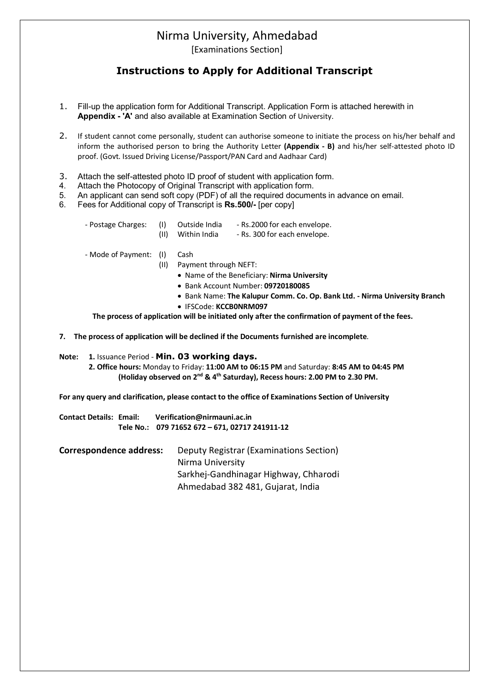## Nirma University, Ahmedabad

[Examinations Section]

### **Instructions to Apply for Additional Transcript**

- 1. Fill-up the application form for Additional Transcript. Application Form is attached herewith in **Appendix - 'A'** and also available at Examination Section of University.
- 2. If student cannot come personally, student can authorise someone to initiate the process on his/her behalf and inform the authorised person to bring the Authority Letter **(Appendix - B)** and his/her self-attested photo ID proof. (Govt. Issued Driving License/Passport/PAN Card and Aadhaar Card)
- 3. Attach the self-attested photo ID proof of student with application form.
- 4. Attach the Photocopy of Original Transcript with application form.
- 5. An applicant can send soft copy (PDF) of all the required documents in advance on email.
- 6. Fees for Additional copy of Transcript is **Rs.500/-** [per copy]

| - Postage Charges: | (1)  | Outside India | - Rs.2000 for each envelope. |
|--------------------|------|---------------|------------------------------|
|                    | (11) | Within India  | - Rs. 300 for each envelope. |
|                    |      |               |                              |

- Mode of Payment: (I) Cash

- (II) Payment through NEFT:
	- Name of the Beneficiary: **Nirma University**
	- Bank Account Number: **09720180085**
	- Bank Name: **The Kalupur Comm. Co. Op. Bank Ltd. - Nirma University Branch**
	- IFSCode: **KCCB0NRM097**

 **The process of application will be initiated only after the confirmation of payment of the fees.**

**7. The process of application will be declined if the Documents furnished are incomplete**.

#### **Note: 1.** Issuance Period - **Min. 03 working days.**

**2. Office hours:** Monday to Friday: **11:00 AM to 06:15 PM** and Saturday: **8:45 AM to 04:45 PM (Holiday observed on 2nd & 4th Saturday), Recess hours: 2.00 PM to 2.30 PM.**

**For any query and clarification, please contact to the office of Examinations Section of University**

**Contact Details: Email: Verification@nirmauni.ac.in Tele No.: 079 71652 672 – 671, 02717 241911-12**

**Correspondence address:** Deputy Registrar (Examinations Section) Nirma University Sarkhej-Gandhinagar Highway, Chharodi Ahmedabad 382 481, Gujarat, India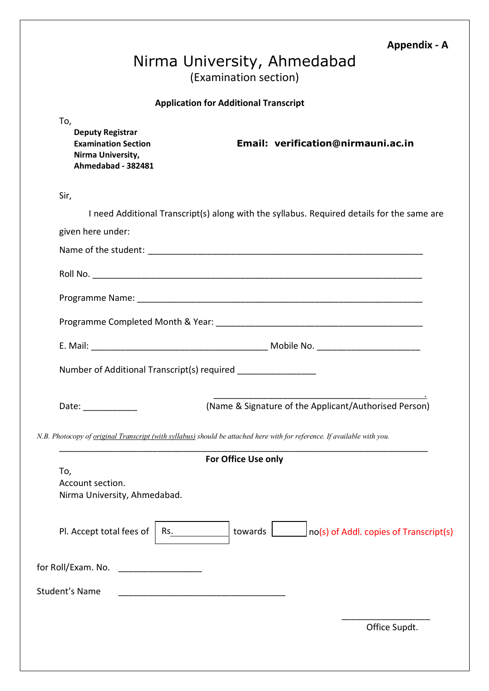### **Appendix - A**

# Nirma University, Ahmedabad (Examination section)

#### **Application for Additional Transcript**

j

| To,  | <b>Deputy Registrar</b><br><b>Examination Section</b><br>Nirma University,<br>Ahmedabad - 382481                                |                     | Email: verification@nirmauni.ac.in                                                         |
|------|---------------------------------------------------------------------------------------------------------------------------------|---------------------|--------------------------------------------------------------------------------------------|
| Sir, |                                                                                                                                 |                     |                                                                                            |
|      |                                                                                                                                 |                     | I need Additional Transcript(s) along with the syllabus. Required details for the same are |
|      | given here under:                                                                                                               |                     |                                                                                            |
|      |                                                                                                                                 |                     |                                                                                            |
|      |                                                                                                                                 |                     |                                                                                            |
|      |                                                                                                                                 |                     |                                                                                            |
|      |                                                                                                                                 |                     |                                                                                            |
|      |                                                                                                                                 |                     |                                                                                            |
|      | Number of Additional Transcript(s) required ________________                                                                    |                     |                                                                                            |
|      | Date: _____________                                                                                                             |                     | (Name & Signature of the Applicant/Authorised Person)                                      |
|      | N.B. Photocopy of <u>original Transcript (with syllabus)</u> should be attached here with for reference. If available with you. |                     |                                                                                            |
|      |                                                                                                                                 | For Office Use only |                                                                                            |
|      | To,<br>Account section.<br>Nirma University, Ahmedabad.                                                                         |                     |                                                                                            |
|      | Pl. Accept total fees of<br>Rs.                                                                                                 | towards             | no(s) of Addl. copies of Transcript(s)                                                     |
|      | for Roll/Exam. No.                                                                                                              |                     |                                                                                            |
|      | <b>Student's Name</b>                                                                                                           |                     |                                                                                            |
|      |                                                                                                                                 |                     | Office Supdt.                                                                              |
|      |                                                                                                                                 |                     |                                                                                            |